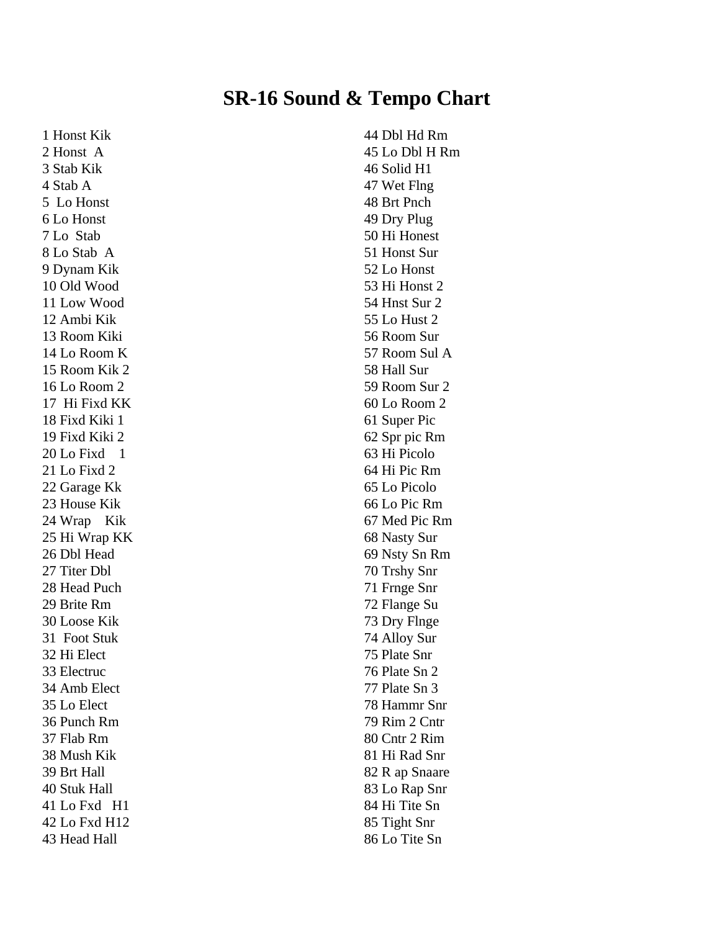## **SR-16 Sound & Tempo Chart**

1 Honst Kik 2 Honst A 3 Stab Kik 4 Stab A 5 Lo Honst 6 Lo Honst 7 Lo Stab 8 Lo Stab A 9 Dynam Kik 10 Old Wood 11 Low Wood 12 Ambi Kik 13 Room Kiki 14 Lo Room K 15 Room Kik 2 16 Lo Room 2 17 Hi Fixd KK 18 Fixd Kiki 1 19 Fixd Kiki 2  $20$  Lo Fixd  $1$ 21 Lo Fixd 2 22 Garage Kk 23 House Kik 24 Wrap Kik 25 Hi Wrap KK 26 Dbl Head 27 Titer Dbl 28 Head Puch 29 Brite Rm 30 Loose Kik 31 Foot Stuk 32 Hi Elect 33 Electruc 34 Amb Elect 35 Lo Elect 36 Punch Rm 37 Flab Rm 38 Mush Kik 39 Brt Hall 40 Stuk Hall 41 Lo Fxd H1 42 Lo Fxd H12 43 Head Hall

44 Dbl Hd Rm 45 Lo Dbl H Rm 46 Solid H1 47 Wet Flng 48 Brt Pnch 49 Dry Plug 50 Hi Honest 51 Honst Sur 52 Lo Honst 53 Hi Honst 2 54 Hnst Sur 2 55 Lo Hust 2 56 Room Sur 57 Room Sul A 58 Hall Sur 59 Room Sur 2 60 Lo Room 2 61 Super Pic 62 Spr pic Rm 63 Hi Picolo 64 Hi Pic Rm 65 Lo Picolo 66 Lo Pic Rm 67 Med Pic Rm 68 Nasty Sur 69 Nsty Sn Rm 70 Trshy Snr 71 Frnge Snr 72 Flange Su 73 Dry Flnge 74 Alloy Sur 75 Plate Snr 76 Plate Sn 2 77 Plate Sn 3 78 Hammr Snr 79 Rim 2 Cntr 80 Cntr 2 Rim 81 Hi Rad Snr 82 R ap Snaare 83 Lo Rap Snr 84 Hi Tite Sn 85 Tight Snr 86 Lo Tite Sn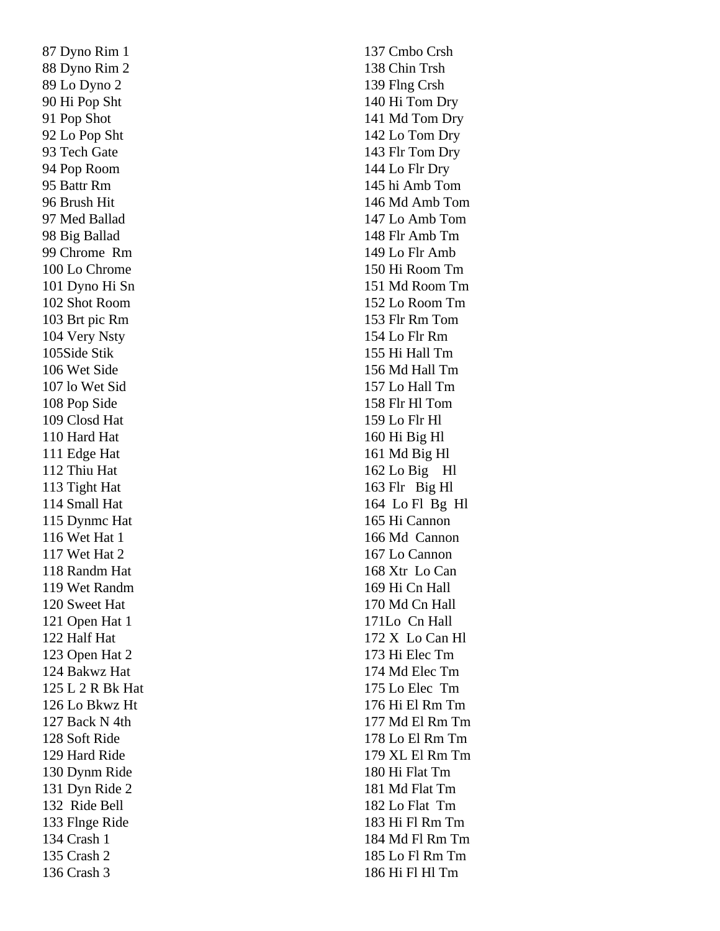87 Dyno Rim 1 88 Dyno Rim 2 89 Lo Dyno 2 90 Hi Pop Sht 91 Pop Shot 92 Lo Pop Sht 93 Tech Gate 94 Pop Room 95 Battr Rm 96 Brush Hit 97 Med Ballad 98 Big Ballad 99 Chrome Rm 100 Lo Chrome 101 Dyno Hi Sn 102 Shot Room 103 Brt pic Rm 104 Very Nsty 105Side Stik 106 Wet Side 107 lo Wet Sid 108 Pop Side 109 Closd Hat 110 Hard Hat 111 Edge Hat 112 Thiu Hat 113 Tight Hat 114 Small Hat 115 Dynmc Hat 116 Wet Hat 1 117 Wet Hat 2 118 Randm Hat 119 Wet Randm 120 Sweet Hat 121 Open Hat 1 122 Half Hat 123 Open Hat 2 124 Bakwz Hat 125 L 2 R Bk Hat 126 Lo Bkwz Ht 127 Back N 4th 128 Soft Ride 129 Hard Ride 130 Dynm Ride 131 Dyn Ride 2 132 Ride Bell 133 Flnge Ride 134 Crash 1 135 Crash 2 136 Crash 3

137 Cmbo Crsh 138 Chin Trsh 139 Flng Crsh 140 Hi Tom Dry 141 Md Tom Dry 142 Lo Tom Dry 143 Flr Tom Dry 144 Lo Flr Dry 145 hi Amb Tom 146 Md Amb Tom 147 Lo Amb Tom 148 Flr Amb Tm 149 Lo Flr Amb 150 Hi Room Tm 151 Md Room Tm 152 Lo Room Tm 153 Flr Rm Tom 154 Lo Flr Rm 155 Hi Hall Tm 156 Md Hall Tm 157 Lo Hall Tm 158 Flr Hl Tom 159 Lo Flr Hl 160 Hi Big Hl 161 Md Big Hl 162 Lo Big Hl 163 Flr Big Hl 164 Lo Fl Bg Hl 165 Hi Cannon 166 Md Cannon 167 Lo Cannon 168 Xtr Lo Can 169 Hi Cn Hall 170 Md Cn Hall 171Lo Cn Hall 172 X Lo Can Hl 173 Hi Elec Tm 174 Md Elec Tm 175 Lo Elec Tm 176 Hi El Rm Tm 177 Md El Rm Tm 178 Lo El Rm Tm 179 XL El Rm Tm 180 Hi Flat Tm 181 Md Flat Tm 182 Lo Flat Tm 183 Hi Fl Rm Tm 184 Md Fl Rm Tm 185 Lo Fl Rm Tm 186 Hi Fl Hl Tm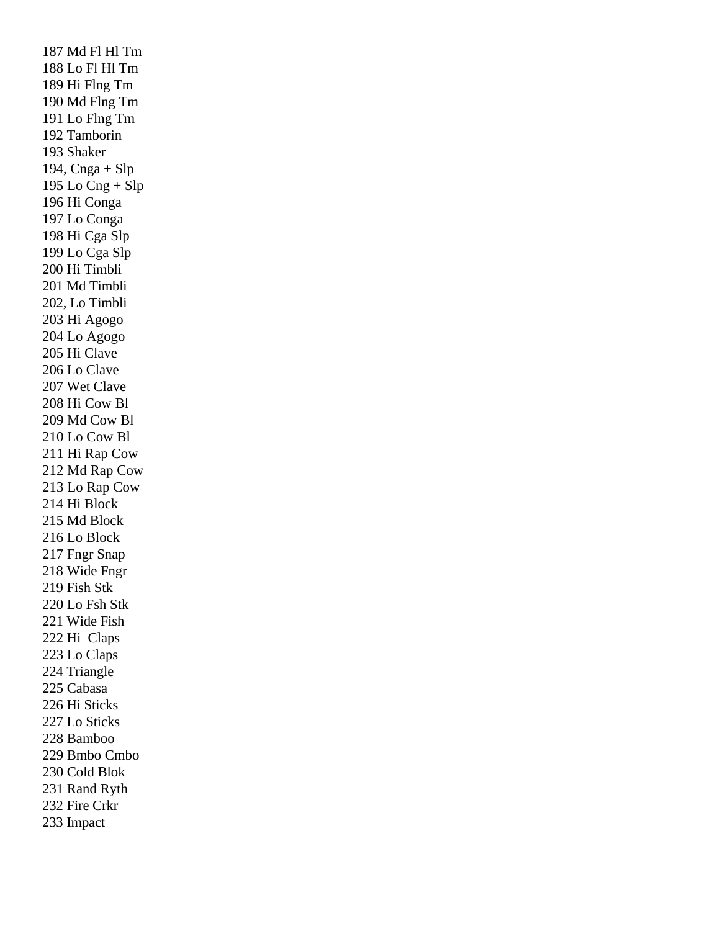187 Md Fl Hl Tm 188 Lo Fl Hl Tm 189 Hi Flng Tm 190 Md Flng Tm 191 Lo Flng Tm 192 Tamborin 193 Shaker 194,  $C$ nga + Slp 195 Lo  $Cng + Slp$ 196 Hi Conga 197 Lo Conga 198 Hi Cga Slp 199 Lo Cga Slp 200 Hi Timbli 201 Md Timbli 202, Lo Timbli 203 Hi Agogo 204 Lo Agogo 205 Hi Clave 206 Lo Clave 207 Wet Clave 208 Hi Cow Bl 209 Md Cow Bl 210 Lo Cow Bl 211 Hi Rap Cow 212 Md Rap Cow 213 Lo Rap Cow 214 Hi Block 215 Md Block 216 Lo Block 217 Fngr Snap 218 Wide Fngr 219 Fish Stk 220 Lo Fsh Stk 221 Wide Fish 222 Hi Claps 223 Lo Claps 224 Triangle 225 Cabasa 226 Hi Sticks 227 Lo Sticks 228 Bamboo 229 Bmbo Cmbo 230 Cold Blok 231 Rand Ryth 232 Fire Crkr 233 Impact